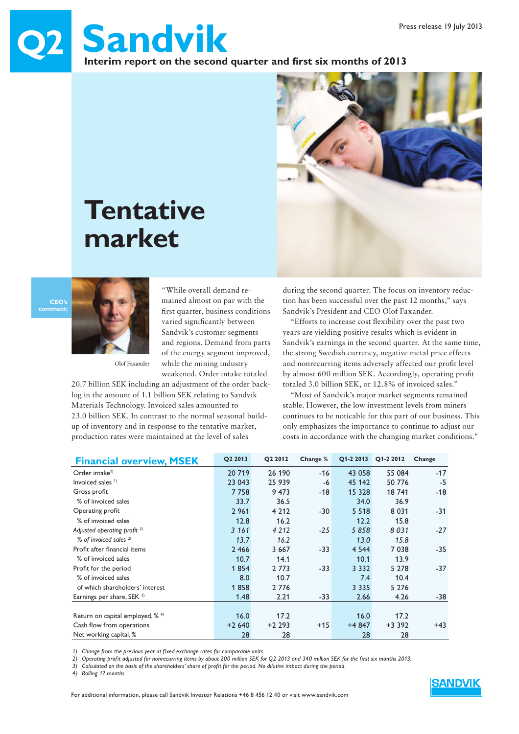# **Q2 Sandvik** Interim report on the second quarter and first six months of 2013



# **Tentative market**

**CEO's** 



Olof Faxander

"While overall demand remained almost on par with the first quarter, business conditions varied significantly between Sandvik's customer segments and regions. Demand from parts of the energy segment improved, while the mining industry weakened. Order intake totaled

20.7 billion SEK including an adjustment of the order backlog in the amount of 1.1 billion SEK relating to Sandvik Materials Technology. Invoiced sales amounted to 23.0 billion SEK. In contrast to the normal seasonal buildup of inventory and in response to the tentative market, production rates were maintained at the level of sales

during the second quarter. The focus on inventory reduction has been successful over the past 12 months," says Sandvik's President and CEO Olof Faxander.

"Efforts to increase cost flexibility over the past two years are yielding positive results which is evident in Sandvik's earnings in the second quarter. At the same time, the strong Swedish currency, negative metal price effects and nonrecurring items adversely affected our profit level by almost 600 million SEK. Accordingly, operating profit totaled 3.0 billion SEK, or 12.8% of invoiced sales."

"Most of Sandvik's major market segments remained stable. However, the low investment levels from miners continues to be noticable for this part of our business. This only emphasizes the importance to continue to adjust our costs in accordance with the changing market conditions."

| <b>Financial overview, MSEK</b>      | Q2 2013 | Q2 2012 | Change % | Q1-2 2013 | Q1-2 2012 | Change |
|--------------------------------------|---------|---------|----------|-----------|-----------|--------|
| Order intake <sup>1)</sup>           | 20 719  | 26 190  | $-16$    | 43 058    | 55 084    | $-17$  |
| Invoiced sales $1$                   | 23 043  | 25 939  | -6       | 45 142    | 50 776    | $-5$   |
| Gross profit                         | 7758    | 9 4 7 3 | $-18$    | 15 328    | 18741     | -18    |
| % of invoiced sales                  | 33.7    | 36.5    |          | 34.0      | 36.9      |        |
| Operating profit                     | 2 9 6 1 | 4 2 1 2 | $-30$    | 5 5 1 8   | 8 0 3 1   | $-31$  |
| % of invoiced sales                  | 12.8    | 16.2    |          | 12.2      | 15.8      |        |
| Adjusted operating profit $^{2)}$    | 3 1 6 1 | 4 2 1 2 | $-25$    | 5858      | 8031      | $-27$  |
| % of invoiced sales $^{2)}$          | 13.7    | 16.2    |          | 13.0      | 15.8      |        |
| Profit after financial items         | 2 4 6 6 | 3 6 6 7 | $-33$    | 4 5 4 4   | 7038      | $-35$  |
| % of invoiced sales                  | 10.7    | 14.1    |          | 10.1      | 13.9      |        |
| Profit for the period                | 1854    | 2 7 7 3 | $-33$    | 3 3 3 2   | 5 2 7 8   | $-37$  |
| % of invoiced sales                  | 8.0     | 10.7    |          | 7.4       | 10.4      |        |
| of which shareholders' interest      | 1858    | 2 7 7 6 |          | 3 3 3 5   | 5 2 7 6   |        |
| Earnings per share, SEK 3)           | 1.48    | 2.21    | $-33$    | 2.66      | 4.26      | -38    |
|                                      |         |         |          |           |           |        |
| Return on capital employed, $% ^{4}$ | 16.0    | 17.2    |          | 16.0      | 17.2      |        |
| Cash flow from operations            | $+2640$ | $+2293$ | $+15$    | $+4847$   | $+3.392$  | $+43$  |
| Net working capital, %               | 28      | 28      |          | 28        | 28        |        |

*1) Change from the previous year at fixed exchange rates for comparable units.*

*2) Operating profit adjusted for nonrecurring items by about 200 million SEK for Q2 2013 and 340 million SEK for the first six months 2013.* 

*3) Calculated on the basis of the shareholders' share of profit for the period. No dilutive impact during the period.*

*4) Rolling 12 months.*

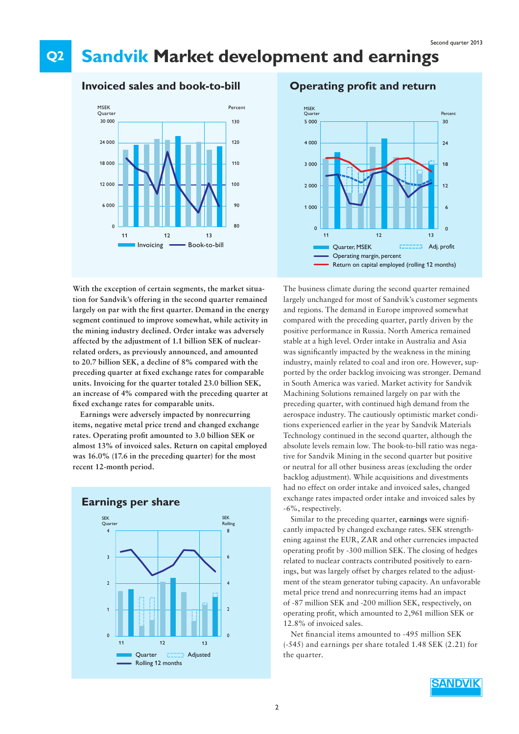#### **Q2 Sandvik Market development and earnings**

### **Invoiced sales and book-to-bill**



**With the exception of certain segments, the market situation for Sandvik's offering in the second quarter remained**  largely on par with the first quarter. Demand in the energy **segment continued to improve somewhat, while activity in the mining industry declined. Order intake was adversely affected by the adjustment of 1.1 billion SEK of nuclearrelated orders, as previously announced, and amounted to 20.7 billion SEK, a decline of 8% compared with the**  preceding quarter at fixed exchange rates for comparable **units. Invoicing for the quarter totaled 23.0 billion SEK, an increase of 4% compared with the preceding quarter at fi xed exchange rates for comparable units.** 

**Earnings were adversely impacted by nonrecurring items, negative metal price trend and changed exchange**  rates. Operating profit amounted to 3.0 billion SEK or **almost 13% of invoiced sales. Return on capital employed was 16.0% (17.6 in the preceding quarter) for the most recent 12-month period.**



### **Operating profit and return**



The business climate during the second quarter remained largely unchanged for most of Sandvik's customer segments and regions. The demand in Europe improved somewhat compared with the preceding quarter, partly driven by the positive performance in Russia. North America remained stable at a high level. Order intake in Australia and Asia was significantly impacted by the weakness in the mining industry, mainly related to coal and iron ore. However, supported by the order backlog invoicing was stronger. Demand in South America was varied. Market activity for Sandvik Machining Solutions remained largely on par with the preceding quarter, with continued high demand from the aerospace industry. The cautiously optimistic market conditions experienced earlier in the year by Sandvik Materials Technology continued in the second quarter, although the absolute levels remain low. The book-to-bill ratio was negative for Sandvik Mining in the second quarter but positive or neutral for all other business areas (excluding the order backlog adjustment). While acquisitions and divestments had no effect on order intake and invoiced sales, changed exchange rates impacted order intake and invoiced sales by -6%, respectively.

Similar to the preceding quarter, earnings were significantly impacted by changed exchange rates. SEK strengthening against the EUR, ZAR and other currencies impacted operating profit by -300 million SEK. The closing of hedges related to nuclear contracts contributed positively to earnings, but was largely offset by charges related to the adjustment of the steam generator tubing capacity. An unfavorable metal price trend and nonrecurring items had an impact of -87 million SEK and -200 million SEK, respectively, on operating profit, which amounted to 2,961 million SEK or 12.8% of invoiced sales.

Net financial items amounted to -495 million SEK (-545) and earnings per share totaled 1.48 SEK (2.21) for the quarter.

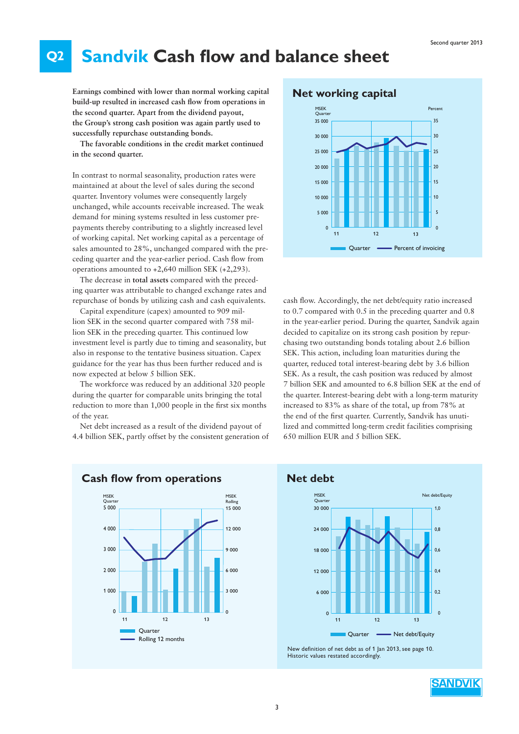#### **Q2 Sandvik Cash flow and balance sheet**

**Earnings combined with lower than normal working capital build-up resulted in increased cash flow from operations in the second quarter. Apart from the dividend payout, the Group's strong cash position was again partly used to successfully repurchase outstanding bonds.** 

**The favorable conditions in the credit market continued in the second quarter.** 

In contrast to normal seasonality, production rates were maintained at about the level of sales during the second quarter. Inventory volumes were consequently largely unchanged, while accounts receivable increased. The weak demand for mining systems resulted in less customer prepayments thereby contributing to a slightly increased level of working capital. Net working capital as a percentage of sales amounted to 28%, unchanged compared with the preceding quarter and the year-earlier period. Cash flow from operations amounted to +2,640 million SEK (+2,293).

The decrease in **total assets** compared with the preceding quarter was attributable to changed exchange rates and repurchase of bonds by utilizing cash and cash equivalents.

Capital expenditure (capex) amounted to 909 million SEK in the second quarter compared with 758 million SEK in the preceding quarter. This continued low investment level is partly due to timing and seasonality, but also in response to the tentative business situation. Capex guidance for the year has thus been further reduced and is now expected at below 5 billion SEK.

The workforce was reduced by an additional 320 people during the quarter for comparable units bringing the total reduction to more than 1,000 people in the first six months of the year.

Net debt increased as a result of the dividend payout of 4.4 billion SEK, partly offset by the consistent generation of



cash flow. Accordingly, the net debt/equity ratio increased to 0.7 compared with 0.5 in the preceding quarter and 0.8 in the year-earlier period. During the quarter, Sandvik again decided to capitalize on its strong cash position by repurchasing two outstanding bonds totaling about 2.6 billion SEK. This action, including loan maturities during the quarter, reduced total interest-bearing debt by 3.6 billion SEK. As a result, the cash position was reduced by almost 7 billion SEK and amounted to 6.8 billion SEK at the end of the quarter. Interest-bearing debt with a long-term maturity increased to 83% as share of the total, up from 78% at the end of the first quarter. Currently, Sandvik has unutilized and committed long-term credit facilities comprising 650 million EUR and 5 billion SEK.



**Cash flow from operations Net debt** 





New definition of net debt as of 1 Jan 2013, see page 10. Historic values restated accordingly.

**SANDVIK**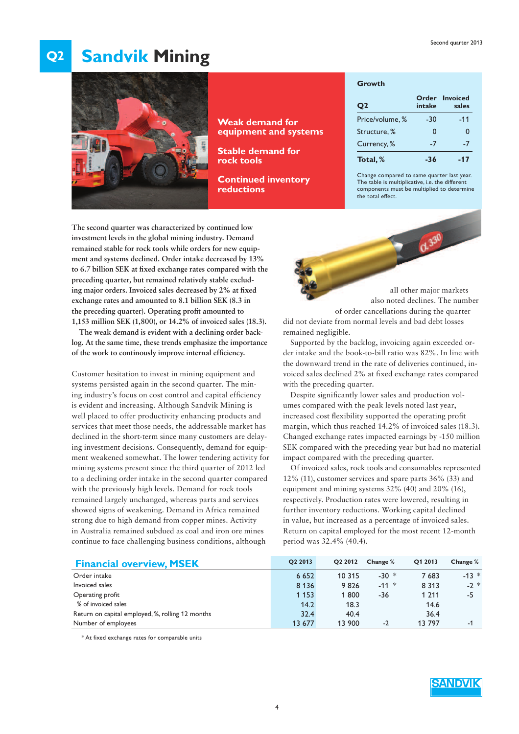### **Q2 Sandvik Mining**



**Weak demand for equipment and systems**

**Stable demand for rock tools**

**Continued inventory reductions**

#### **Growth**

| Q <sub>2</sub>  | intake   | Order Invoiced<br>sales |
|-----------------|----------|-------------------------|
| Price/volume, % | -30      | $-11$                   |
| Structure, %    | $\Omega$ | 0                       |
| Currency, %     | $-7$     | $-7$                    |
| Total, %        | -36      | -17                     |

Change compared to same quarter last year. The table is multiplicative, i.e. the different components must be multiplied to determine the total effect.

0.330

**The second quarter was characterized by continued low investment levels in the global mining industry. Demand remained stable for rock tools while orders for new equipment and systems declined. Order intake decreased by 13%**  to 6.7 billion SEK at fixed exchange rates compared with the **preceding quarter, but remained relatively stable exclud**ing major orders. Invoiced sales decreased by 2% at fixed **exchange rates and amounted to 8.1 billion SEK (8.3 in**  the preceding quarter). Operating profit amounted to **1,153 million SEK (1,800), or 14.2% of invoiced sales (18.3).**

**The weak demand is evident with a declining order backlog. At the same time, these trends emphasize the importance**  of the work to continously improve internal efficiency.

Customer hesitation to invest in mining equipment and systems persisted again in the second quarter. The mining industry's focus on cost control and capital efficiency is evident and increasing. Although Sandvik Mining is well placed to offer productivity enhancing products and services that meet those needs, the addressable market has declined in the short-term since many customers are delaying investment decisions. Consequently, demand for equipment weakened somewhat. The lower tendering activity for mining systems present since the third quarter of 2012 led to a declining order intake in the second quarter compared with the previously high levels. Demand for rock tools remained largely unchanged, whereas parts and services showed signs of weakening. Demand in Africa remained strong due to high demand from copper mines. Activity in Australia remained subdued as coal and iron ore mines continue to face challenging business conditions, although

all other major markets also noted declines. The number of order cancellations during the quarter did not deviate from normal levels and bad debt losses

remained negligible. Supported by the backlog, invoicing again exceeded order intake and the book-to-bill ratio was 82%. In line with the downward trend in the rate of deliveries continued, invoiced sales declined 2% at fixed exchange rates compared with the preceding quarter.

Despite significantly lower sales and production volumes compared with the peak levels noted last year, increased cost flexibility supported the operating profit margin, which thus reached 14.2% of invoiced sales (18.3). Changed exchange rates impacted earnings by -150 million SEK compared with the preceding year but had no material impact compared with the preceding quarter.

Of invoiced sales, rock tools and consumables represented 12% (11), customer services and spare parts 36% (33) and equipment and mining systems 32% (40) and 20% (16), respectively. Production rates were lowered, resulting in further inventory reductions. Working capital declined in value, but increased as a percentage of invoiced sales. Return on capital employed for the most recent 12-month period was 32.4% (40.4).

| <b>Financial overview, MSEK</b>                  | O <sub>2</sub> 2013 | O <sub>2</sub> 2012 | Change % | O1 2013 | Change % |
|--------------------------------------------------|---------------------|---------------------|----------|---------|----------|
| Order intake                                     | 6 6 5 2             | 10 315              | $-30$ *  | 7 683   | $-13$ *  |
| Invoiced sales                                   | 8 1 3 6             | 9826                | $-11 *$  | 8 3 1 3 | $-2 *$   |
| Operating profit                                 | 1 1 5 3             | 1800                | -36      | 1 2 1 1 | -5       |
| % of invoiced sales                              | 14.2                | 18.3                |          | 14.6    |          |
| Return on capital employed, %, rolling 12 months | 32.4                | 40.4                |          | 36.4    |          |
| Number of employees                              | 13 677              | 13 900              | $-2$     | 13797   | -1       |

\* At fixed exchange rates for comparable units

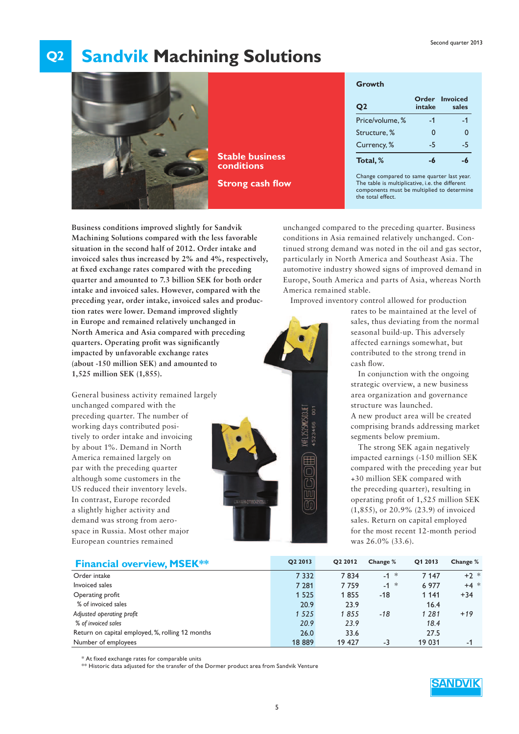### **Q2 Sandvik Machining Solutions**



**Stable business conditions**

**Strong cash flow** 

### **Growth**

| O <sub>2</sub>  | intake   | Order Invoiced<br>sales |
|-----------------|----------|-------------------------|
| Price/volume, % | -1       | -1                      |
| Structure, %    | $\Omega$ | 0                       |
| Currency, %     | -5       | -5                      |
| Total, %        |          |                         |

Change compared to same quarter last year. The table is multiplicative, i.e. the different components must be multiplied to determine the total effect.

**Business conditions improved slightly for Sandvik Machining Solutions compared with the less favorable situation in the second half of 2012. Order intake and invoiced sales thus increased by 2% and 4%, respectively,**  at fixed exchange rates compared with the preceding **quarter and amounted to 7.3 billion SEK for both order intake and invoiced sales. However, compared with the preceding year, order intake, invoiced sales and production rates were lower. Demand improved slightly in Europe and remained relatively unchanged in North America and Asia compared with preceding**  quarters. Operating profit was significantly **impacted by unfavorable exchange rates (about -150 million SEK) and amounted to 1,525 million SEK (1,855).**

General business activity remained largely unchanged compared with the preceding quarter. The number of working days contributed positively to order intake and invoicing by about 1%. Demand in North America remained largely on par with the preceding quarter although some customers in the US reduced their inventory levels. In contrast, Europe recorded a slightly higher activity and demand was strong from aerospace in Russia. Most other major European countries remained



 $(\mathbb{d} \mathbb{d})$ 

unchanged compared to the preceding quarter. Business conditions in Asia remained relatively unchanged. Continued strong demand was noted in the oil and gas sector, particularly in North America and Southeast Asia. The automotive industry showed signs of improved demand in Europe, South America and parts of Asia, whereas North America remained stable.

Improved inventory control allowed for production

rates to be maintained at the level of sales, thus deviating from the normal seasonal build-up. This adversely affected earnings somewhat, but contributed to the strong trend in cash flow.

In conjunction with the ongoing strategic overview, a new business area organization and governance structure was launched. A new product area will be created comprising brands addressing market segments below premium.

The strong SEK again negatively impacted earnings (-150 million SEK compared with the preceding year but +30 million SEK compared with the preceding quarter), resulting in operating profit of 1,525 million SEK (1,855), or 20.9% (23.9) of invoiced sales. Return on capital employed for the most recent 12-month period was 26.0% (33.6).

| <b>Financial overview, MSEK**</b>                | O <sub>2</sub> 2013 | Q2 2012 | Change % | Q1 2013 | Change % |
|--------------------------------------------------|---------------------|---------|----------|---------|----------|
| Order intake                                     | 7 3 3 2             | 7834    | $-1$ *   | 7 1 4 7 | $+2 *$   |
| Invoiced sales                                   | 7 2 8 1             | 7759    | $-1$ *   | 6 9 7 7 | $+4 *$   |
| Operating profit                                 | 1 5 2 5             | 1855    | -18      | 1 1 4 1 | $+34$    |
| % of invoiced sales                              | 20.9                | 23.9    |          | 16.4    |          |
| Adjusted operating profit                        | 1 5 2 5             | 1855    | -18      | 1 2 8 1 | $+19$    |
| % of invoiced sales                              | 20.9                | 23.9    |          | 18.4    |          |
| Return on capital employed, %, rolling 12 months | 26.0                | 33.6    |          | 27.5    |          |
| Number of employees                              | 18889               | 19 427  | -3       | 19 031  | -1       |

\* At fixed exchange rates for comparable units

\*\* Historic data adjusted for the transfer of the Dormer product area from Sandvik Venture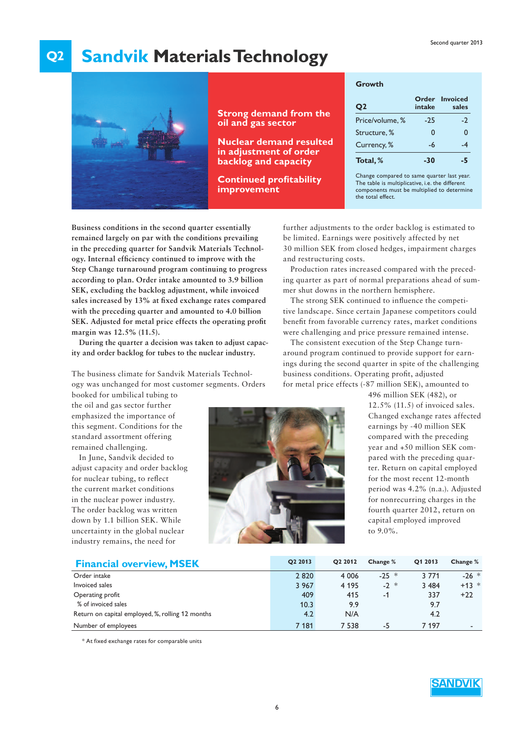### **Q2 Sandvik Materials Technology**



### **Strong demand from the oil and gas sector**

**Nuclear demand resulted in adjustment of order backlog and capacity**

**Continued profitability improvement**

#### **Growth**

| Q <sub>2</sub>  | intake | Order Invoiced<br>sales |
|-----------------|--------|-------------------------|
| Price/volume, % | $-25$  | $-2$                    |
| Structure, %    | 0      | 0                       |
| Currency, %     | -6     | .4                      |
| Total, %        | -30    | 55                      |

Change compared to same quarter last year. The table is multiplicative, i.e. the different components must be multiplied to determine the total effect.

**Business conditions in the second quarter essentially remained largely on par with the conditions prevailing in the preceding quarter for Sandvik Materials Technology.** Internal efficiency continued to improve with the **Step Change turnaround program continuing to progress according to plan. Order intake amounted to 3.9 billion SEK, excluding the backlog adjustment, while invoiced**  sales increased by 13% at fixed exchange rates compared **with the preceding quarter and amounted to 4.0 billion**  SEK. Adjusted for metal price effects the operating profit **margin was 12.5% (11.5).** 

**During the quarter a decision was taken to adjust capacity and order backlog for tubes to the nuclear industry.**

The business climate for Sandvik Materials Technology was unchanged for most customer segments. Orders

booked for umbilical tubing to the oil and gas sector further emphasized the importance of this segment. Conditions for the standard assortment offering remained challenging.

In June, Sandvik decided to adjust capacity and order backlog for nuclear tubing, to reflect the current market conditions in the nuclear power industry. The order backlog was written down by 1.1 billion SEK. While uncertainty in the global nuclear industry remains, the need for



further adjustments to the order backlog is estimated to be limited. Earnings were positively affected by net 30 million SEK from closed hedges, impairment charges and restructuring costs.

Production rates increased compared with the preceding quarter as part of normal preparations ahead of summer shut downs in the northern hemisphere.

The strong SEK continued to influence the competitive landscape. Since certain Japanese competitors could benefit from favorable currency rates, market conditions were challenging and price pressure remained intense.

The consistent execution of the Step Change turnaround program continued to provide support for earnings during the second quarter in spite of the challenging business conditions. Operating profit, adjusted for metal price effects (-87 million SEK), amounted to

> 496 million SEK (482), or 12.5% (11.5) of invoiced sales. Changed exchange rates affected earnings by -40 million SEK compared with the preceding year and +50 million SEK compared with the preceding quarter. Return on capital employed for the most recent 12-month period was 4.2% (n.a.). Adjusted for nonrecurring charges in the fourth quarter 2012, return on capital employed improved to 9.0%.

| <b>Financial overview, MSEK</b>                  | O <sub>2</sub> 2013 | O <sub>2</sub> 2012 | Change % | O1 2013 | Change % |
|--------------------------------------------------|---------------------|---------------------|----------|---------|----------|
| Order intake                                     | 2820                | 4 0 0 6             | $-25$ *  | 3 7 7 1 | $-26$ *  |
| Invoiced sales                                   | 3 9 6 7             | 4 1 9 5             | $-2 *$   | 3 4 8 4 | $+13$ *  |
| Operating profit                                 | 409                 | 415                 | $-1$     | 337     | $+22$    |
| % of invoiced sales                              | 10.3                | 9.9                 |          | 9.7     |          |
| Return on capital employed, %, rolling 12 months | 4.2                 | N/A                 |          | 4.2     |          |
| Number of employees                              | 7 181               | 7 5 3 8             | -5       | 7 197   |          |

\* At fixed exchange rates for comparable units

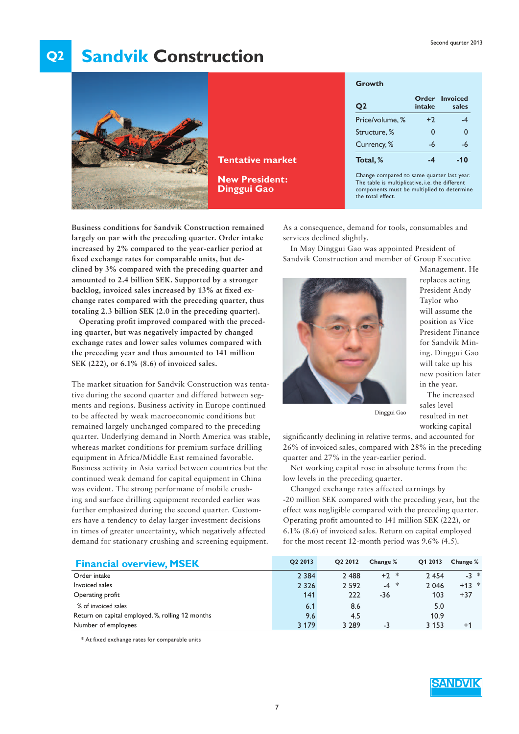### **Q2 Sandvik Construction**



**Tentative market**

**New President: Dinggui Gao**

| Growth          |          |                         |
|-----------------|----------|-------------------------|
| Q <sub>2</sub>  | intake   | Order Invoiced<br>sales |
| Price/volume, % | $+2$     | -4                      |
| Structure, %    | $\Omega$ | $\Omega$                |
| Currency, %     | -6       | -6                      |
| Total, %        | -4       | $-10$                   |

Change compared to same quarter last year. The table is multiplicative, i.e. the different components must be multiplied to determine the total effect.

**Business conditions for Sandvik Construction remained largely on par with the preceding quarter. Order intake increased by 2% compared to the year-earlier period at**  fixed exchange rates for comparable units, but de**clined by 3% compared with the preceding quarter and amounted to 2.4 billion SEK. Supported by a stronger**  backlog, invoiced sales increased by 13% at fixed ex**change rates compared with the preceding quarter, thus totaling 2.3 billion SEK (2.0 in the preceding quarter).** 

Operating profit improved compared with the preced**ing quarter, but was negatively impacted by changed exchange rates and lower sales volumes compared with the preceding year and thus amounted to 141 million SEK (222), or 6.1% (8.6) of invoiced sales.** 

The market situation for Sandvik Construction was tentative during the second quarter and differed between segments and regions. Business activity in Europe continued to be affected by weak macroeconomic conditions but remained largely unchanged compared to the preceding quarter. Underlying demand in North America was stable, whereas market conditions for premium surface drilling equipment in Africa/Middle East remained favorable. Business activity in Asia varied between countries but the continued weak demand for capital equipment in China was evident. The strong performane of mobile crushing and surface drilling equipment recorded earlier was further emphasized during the second quarter. Customers have a tendency to delay larger investment decisions in times of greater uncertainty, which negatively affected demand for stationary crushing and screening equipment.

As a consequence, demand for tools, consumables and services declined slightly.

In May Dinggui Gao was appointed President of Sandvik Construction and member of Group Executive



Management. He replaces acting President Andy Taylor who will assume the position as Vice President Finance for Sandvik Mining. Dinggui Gao will take up his new position later in the year.

The increased sales level resulted in net working capital

Dinggui Gao

significantly declining in relative terms, and accounted for 26% of invoiced sales, compared with 28% in the preceding quarter and 27% in the year-earlier period.

Net working capital rose in absolute terms from the low levels in the preceding quarter.

Changed exchange rates affected earnings by -20 million SEK compared with the preceding year, but the effect was negligible compared with the preceding quarter. Operating profit amounted to 141 million SEK (222), or 6.1% (8.6) of invoiced sales. Return on capital employed for the most recent 12-month period was 9.6% (4.5).

| <b>Financial overview, MSEK</b>                  | O <sub>2</sub> 2013 | O <sub>2</sub> 2012 | Change % | Q1 2013 | Change % |
|--------------------------------------------------|---------------------|---------------------|----------|---------|----------|
| Order intake                                     | 2 3 8 4             | 2 4 8 8             | $+2$ *   | 2 4 5 4 | $-3 *$   |
| Invoiced sales                                   | 2 3 2 6             | 2 5 9 2             | $-4 *$   | 2 0 4 6 | $+13$ *  |
| Operating profit                                 | 141                 | 222                 | $-36$    | 103     | $+37$    |
| % of invoiced sales                              | 6.1                 | 8.6                 |          | 5.0     |          |
| Return on capital employed, %, rolling 12 months | 9.6                 | 4.5                 |          | 10.9    |          |
| Number of employees                              | 3 1 7 9             | 3 2 8 9             | -3       | 3 1 5 3 | $+1$     |

\* At fixed exchange rates for comparable units

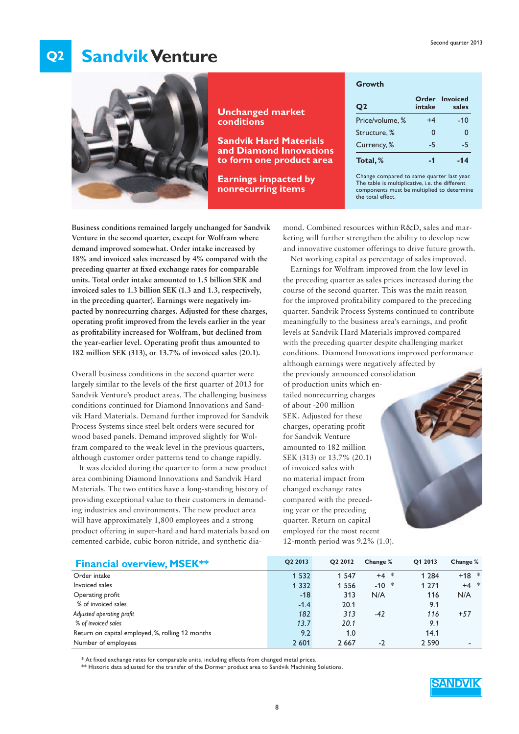#### **Q2 Sandvik Venture**



**Unchanged market conditions**

**Sandvik Hard Materials and Diamond Innovations to form one product area** 

**Earnings impacted by nonrecurring items**

|  | Growth |  |
|--|--------|--|
|--|--------|--|

| Q <sub>2</sub>  | intake   | <b>Order</b> Invoiced<br>sales |
|-----------------|----------|--------------------------------|
| Price/volume, % | $+4$     | $-10$                          |
| Structure, %    | $\Omega$ | $\Omega$                       |
| Currency, %     | $-5$     | -5                             |
| Total, %        | - 1      |                                |

Change compared to same quarter last year. The table is multiplicative, i.e. the different components must be multiplied to determine the total effect.

**Business conditions remained largely unchanged for Sandvik Venture in the second quarter, except for Wolfram where demand improved somewhat. Order intake increased by 18% and invoiced sales increased by 4% compared with the**  preceding quarter at fixed exchange rates for comparable **units. Total order intake amounted to 1.5 billion SEK and invoiced sales to 1.3 billion SEK (1.3 and 1.3, respectively, in the preceding quarter). Earnings were negatively impacted by nonrecurring charges. Adjusted for these charges, operating profi t improved from the levels earlier in the year**  as profitability increased for Wolfram, but declined from **the year-earlier level. Operating profi t thus amounted to 182 million SEK (313), or 13.7% of invoiced sales (20.1).**

Overall business conditions in the second quarter were largely similar to the levels of the first quarter of 2013 for Sandvik Venture's product areas. The challenging business conditions continued for Diamond Innovations and Sandvik Hard Materials. Demand further improved for Sandvik Process Systems since steel belt orders were secured for wood based panels. Demand improved slightly for Wolfram compared to the weak level in the previous quarters, although customer order patterns tend to change rapidly.

It was decided during the quarter to form a new product area combining Diamond Innovations and Sandvik Hard Materials. The two entities have a long-standing history of providing exceptional value to their customers in demanding industries and environments. The new product area will have approximately 1,800 employees and a strong product offering in super-hard and hard materials based on cemented carbide, cubic boron nitride, and synthetic dia-

mond. Combined resources within R&D, sales and marketing will further strengthen the ability to develop new and innovative customer offerings to drive future growth.

Net working capital as percentage of sales improved. Earnings for Wolfram improved from the low level in the preceding quarter as sales prices increased during the course of the second quarter. This was the main reason for the improved profitability compared to the preceding quarter. Sandvik Process Systems continued to contribute meaningfully to the business area's earnings, and profit levels at Sandvik Hard Materials improved compared with the preceding quarter despite challenging market conditions. Diamond Innovations improved performance although earnings were negatively affected by

the previously announced consolidation of production units which entailed nonrecurring charges of about -200 million SEK. Adjusted for these charges, operating profit for Sandvik Venture amounted to 182 million SEK (313) or 13.7% (20.1) of invoiced sales with no material impact from changed exchange rates compared with the preceding year or the preceding quarter. Return on capital employed for the most recent 12-month period was 9.2% (1.0).

| <b>Financial overview, MSEK**</b>                | O <sub>2</sub> 2013 | O <sub>2</sub> 2012 | Change % | O1 2013 | Change % |
|--------------------------------------------------|---------------------|---------------------|----------|---------|----------|
| Order intake                                     | 1 5 3 2             | 1 5 4 7             | $+4$ *   | 1 2 8 4 | $+18$ *  |
| Invoiced sales                                   | 1 3 3 2             | 1 5 5 6             | $-10 *$  | 1 2 7 1 | $+4$ *   |
| Operating profit                                 | $-18$               | 313                 | N/A      | 116     | N/A      |
| % of invoiced sales                              | $-1.4$              | 20.1                |          | 9.1     |          |
| Adjusted operating profit                        | 182                 | 313                 | $-42$    | 116     | $+57$    |
| % of invoiced sales                              | 13.7                | 20.1                |          | 9.1     |          |
| Return on capital employed, %, rolling 12 months | 9.2                 | 1.0                 |          | 14.1    |          |
| Number of employees                              | 2 601               | 2 6 6 7             | $-2$     | 2 5 9 0 |          |

\* At fixed exchange rates for comparable units, including effects from changed metal prices.

\*\* Historic data adjusted for the transfer of the Dormer product area to Sandvik Machining Solutions.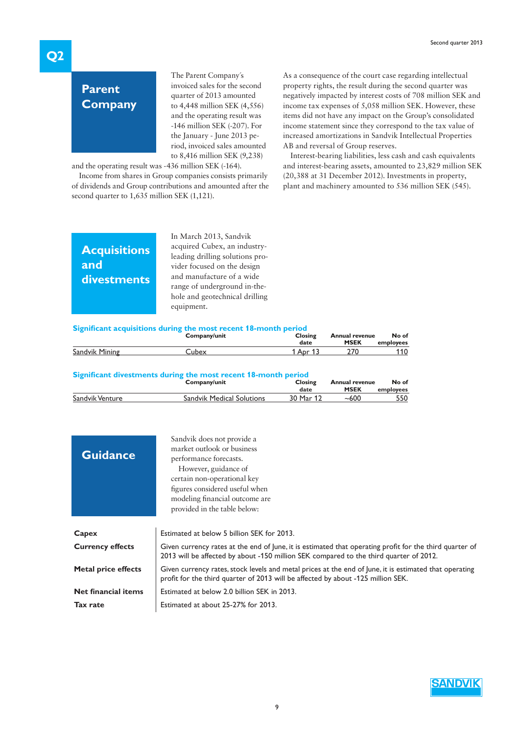# **Parent Company**

The Parent Company´s invoiced sales for the second quarter of 2013 amounted to 4,448 million SEK (4,556) and the operating result was -146 million SEK (-207). For the January - June 2013 period, invoiced sales amounted to 8,416 million SEK (9,238)

and the operating result was -436 million SEK (-164).

Income from shares in Group companies consists primarily of dividends and Group contributions and amounted after the second quarter to 1,635 million SEK (1,121).

As a consequence of the court case regarding intellectual property rights, the result during the second quarter was negatively impacted by interest costs of 708 million SEK and income tax expenses of 5,058 million SEK. However, these items did not have any impact on the Group's consolidated income statement since they correspond to the tax value of increased amortizations in Sandvik Intellectual Properties AB and reversal of Group reserves.

Interest-bearing liabilities, less cash and cash equivalents and interest-bearing assets, amounted to 23,829 million SEK (20,388 at 31 December 2012). Investments in property, plant and machinery amounted to 536 million SEK (545).

## **Acquisitions and divestments**

In March 2013, Sandvik acquired Cubex, an industryleading drilling solutions provider focused on the design and manufacture of a wide range of underground in-thehole and geotechnical drilling equipment.

#### **Significant acquisitions during the most recent 18-month period**

|                | Company/unit | Closing<br><b>Annual revenue</b> |             | No of     |
|----------------|--------------|----------------------------------|-------------|-----------|
|                |              | date                             | <b>MSEK</b> | employees |
| Sandvik Mining | Lubex        | Apr                              |             |           |

#### **Significant divestments during the most recent 18-month period**

|                 | Company/unit                     | Closing   | <b>Annual revenue</b> |           |
|-----------------|----------------------------------|-----------|-----------------------|-----------|
|                 |                                  | date      | <b>MSEK</b>           | employees |
| Sandvik Venture | <b>Sandvik Medical Solutions</b> | 30 Mar 12 | ~100                  | 550       |

| <b>Guidance</b>            | Sandvik does not provide a<br>market outlook or business<br>performance forecasts.<br>However, guidance of<br>certain non-operational key<br>figures considered useful when<br>modeling financial outcome are<br>provided in the table below: |
|----------------------------|-----------------------------------------------------------------------------------------------------------------------------------------------------------------------------------------------------------------------------------------------|
| Capex                      | Estimated at below 5 billion SEK for 2013.                                                                                                                                                                                                    |
| <b>Currency effects</b>    | Given currency rates at the end of lune, it is estimated that operating profit for the third quarter of<br>2013 will be affected by about -150 million SEK compared to the third quarter of 2012.                                             |
| Metal price effects        | Given currency rates, stock levels and metal prices at the end of lune, it is estimated that operating<br>profit for the third quarter of 2013 will be affected by about -125 million SEK.                                                    |
| <b>Net financial items</b> | Estimated at below 2.0 billion SEK in 2013.                                                                                                                                                                                                   |
| Tax rate                   | Estimated at about 25-27% for 2013.                                                                                                                                                                                                           |

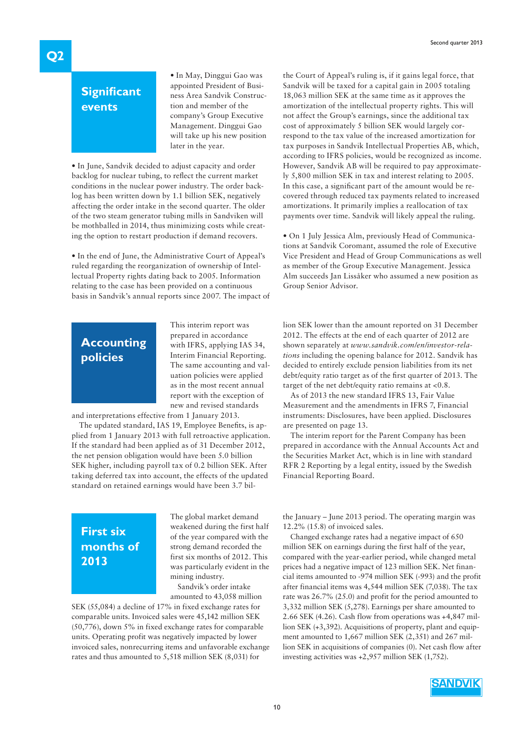## **Significant events**

• In May, Dinggui Gao was appointed President of Business Area Sandvik Construction and member of the company's Group Executive Management. Dinggui Gao will take up his new position later in the year.

• In June, Sandvik decided to adjust capacity and order backlog for nuclear tubing, to reflect the current market conditions in the nuclear power industry. The order backlog has been written down by 1.1 billion SEK, negatively affecting the order intake in the second quarter. The older of the two steam generator tubing mills in Sandviken will be mothballed in 2014, thus minimizing costs while creating the option to restart production if demand recovers.

• In the end of June, the Administrative Court of Appeal's ruled regarding the reorganization of ownership of Intellectual Property rights dating back to 2005. Information relating to the case has been provided on a continuous basis in Sandvik's annual reports since 2007. The impact of

## **Accounting policies**

This interim report was prepared in accordance with IFRS, applying IAS 34, Interim Financial Reporting. The same accounting and valuation policies were applied as in the most recent annual report with the exception of new and revised standards

and interpretations effective from 1 January 2013.

The updated standard, IAS 19, Employee Benefits, is applied from 1 January 2013 with full retroactive application. If the standard had been applied as of 31 December 2012, the net pension obligation would have been 5.0 billion SEK higher, including payroll tax of 0.2 billion SEK. After taking deferred tax into account, the effects of the updated standard on retained earnings would have been 3.7 bil-

the Court of Appeal's ruling is, if it gains legal force, that Sandvik will be taxed for a capital gain in 2005 totaling 18,063 million SEK at the same time as it approves the amortization of the intellectual property rights. This will not affect the Group's earnings, since the additional tax cost of approximately 5 billion SEK would largely correspond to the tax value of the increased amortization for tax purposes in Sandvik Intellectual Properties AB, which, according to IFRS policies, would be recognized as income. However, Sandvik AB will be required to pay approximately 5,800 million SEK in tax and interest relating to 2005. In this case, a significant part of the amount would be recovered through reduced tax payments related to increased amortizations. It primarily implies a reallocation of tax payments over time. Sandvik will likely appeal the ruling.

• On 1 July Jessica Alm, previously Head of Communications at Sandvik Coromant, assumed the role of Executive Vice President and Head of Group Communications as well as member of the Group Executive Management. Jessica Alm succeeds Jan Lissåker who assumed a new position as Group Senior Advisor.

lion SEK lower than the amount reported on 31 December 2012. The effects at the end of each quarter of 2012 are shown separately at *www.sandvik.com/en/investor-relations* including the opening balance for 2012. Sandvik has decided to entirely exclude pension liabilities from its net debt/equity ratio target as of the first quarter of 2013. The target of the net debt/equity ratio remains at <0.8.

As of 2013 the new standard IFRS 13, Fair Value Measurement and the amendments in IFRS 7, Financial instruments: Disclosures, have been applied. Disclosures are presented on page 13.

The interim report for the Parent Company has been prepared in accordance with the Annual Accounts Act and the Securities Market Act, which is in line with standard RFR 2 Reporting by a legal entity, issued by the Swedish Financial Reporting Board.

# **First six months of 2013**

The global market demand weakened during the first half of the year compared with the strong demand recorded the first six months of 2012. This was particularly evident in the mining industry.

Sandvik's order intake amounted to 43,058 million

SEK (55,084) a decline of 17% in fixed exchange rates for comparable units. Invoiced sales were 45,142 million SEK (50,776), down 5% in fixed exchange rates for comparable units. Operating profit was negatively impacted by lower invoiced sales, nonrecurring items and unfavorable exchange rates and thus amounted to 5,518 million SEK (8,031) for

the January – June 2013 period. The operating margin was 12.2% (15.8) of invoiced sales.

Changed exchange rates had a negative impact of 650 million SEK on earnings during the first half of the year, compared with the year-earlier period, while changed metal prices had a negative impact of 123 million SEK. Net financial items amounted to -974 million SEK (-993) and the profit after financial items was 4,544 million SEK (7,038). The tax rate was 26.7% (25.0) and profit for the period amounted to 3,332 million SEK (5,278). Earnings per share amounted to 2.66 SEK (4.26). Cash flow from operations was +4,847 million SEK (+3,392). Acquisitions of property, plant and equipment amounted to 1,667 million SEK (2,351) and 267 million SEK in acquisitions of companies (0). Net cash flow after investing activities was +2,957 million SEK (1,752).

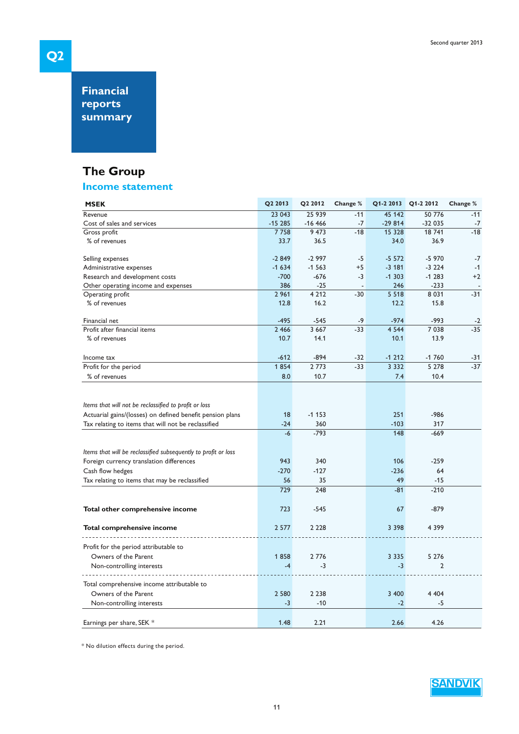**Financial reports summary**

# **The Group**

### **Income statement**

| <b>MSEK</b>                                                    | Q2 2013  | Q2 2012  | Change % |          | Q1-2 2013 Q1-2 2012 | Change % |
|----------------------------------------------------------------|----------|----------|----------|----------|---------------------|----------|
| Revenue                                                        | 23 043   | 25 939   | $-11$    | 45 142   | 50 776              | $-11$    |
| Cost of sales and services                                     | $-15285$ | $-16466$ | $-7$     | $-29814$ | $-32035$            | $-7$     |
| Gross profit                                                   | 7758     | 9473     | $-18$    | 15 328   | 18 741              | $-18$    |
| % of revenues                                                  | 33.7     | 36.5     |          | 34.0     | 36.9                |          |
| Selling expenses                                               | $-2849$  | $-2997$  | $-5$     | $-5572$  | $-5970$             | $-7$     |
| Administrative expenses                                        | $-1634$  | $-1563$  | $+5$     | $-3181$  | $-3224$             | $-1$     |
| Research and development costs                                 | $-700$   | $-676$   | $-3$     | $-1303$  | $-1283$             | $+2$     |
| Other operating income and expenses                            | 386      | $-25$    |          | 246      | $-233$              |          |
| Operating profit                                               | 2 9 6 1  | 4 2 1 2  | $-30$    | 5 5 1 8  | 8 0 3 1             | $-31$    |
| % of revenues                                                  | 12.8     | 16.2     |          | 12.2     | 15.8                |          |
| Financial net                                                  | $-495$   | $-545$   | -9       | $-974$   | $-993$              | $-2$     |
| Profit after financial items                                   | 2 4 6 6  | 3 6 6 7  | $-33$    | 4 5 4 4  | 7038                | $-35$    |
| % of revenues                                                  | 10.7     | 14.1     |          | 10.1     | 13.9                |          |
| Income tax                                                     | $-612$   | $-894$   | $-32$    | $-1212$  | $-1760$             | $-31$    |
| Profit for the period                                          | 1854     | 2 7 7 3  | $-33$    | 3 3 3 2  | 5 2 7 8             | $-37$    |
| % of revenues                                                  | 8.0      | 10.7     |          | 7.4      | 10.4                |          |
|                                                                |          |          |          |          |                     |          |
| Items that will not be reclassified to profit or loss          |          |          |          |          |                     |          |
| Actuarial gains/(losses) on defined benefit pension plans      | 18       | $-1153$  |          | 251      | $-986$              |          |
| Tax relating to items that will not be reclassified            | $-24$    | 360      |          | $-103$   | 317                 |          |
|                                                                | $-6$     | $-793$   |          | 148      | $-669$              |          |
| Items that will be reclassified subsequently to profit or loss |          |          |          |          |                     |          |
| Foreign currency translation differences                       | 943      | 340      |          | 106      | $-259$              |          |
| Cash flow hedges                                               | $-270$   | $-127$   |          | $-236$   | 64                  |          |
| Tax relating to items that may be reclassified                 | 56       | 35       |          | 49       | $-15$               |          |
|                                                                | 729      | 248      |          | $-81$    | $-210$              |          |
| Total other comprehensive income                               | 723      | $-545$   |          | 67       | $-879$              |          |
| Total comprehensive income                                     | 2 5 7 7  | 2 2 2 8  |          | 3 3 9 8  | 4 3 9 9             |          |
| Profit for the period attributable to                          |          |          |          |          |                     |          |
| Owners of the Parent                                           | 1858     | 2 7 7 6  |          | 3 3 3 5  | 5 2 7 6             |          |
|                                                                | $-4$     | -3       |          | $-3$     | $\overline{2}$      |          |
| Non-controlling interests                                      |          |          |          |          |                     |          |
| Total comprehensive income attributable to                     |          |          |          |          |                     |          |
| Owners of the Parent                                           | 2 5 8 0  | 2 2 3 8  |          | 3 400    | 4 4 0 4             |          |
| Non-controlling interests                                      | $-3$     | $-10$    |          | $-2$     | -5                  |          |
| Earnings per share, SEK *                                      | 1.48     | 2.21     |          | 2.66     | 4.26                |          |

\* No dilution effects during the period.



**Q2**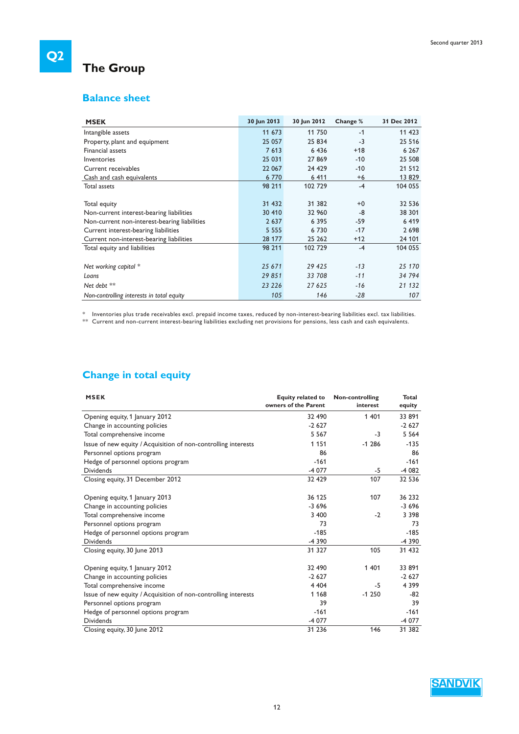# **The Group**

### **Balance sheet**

| <b>MSEK</b>                                  | 30 Jun 2013 | 30 Jun 2012 | Change % | 31 Dec 2012 |
|----------------------------------------------|-------------|-------------|----------|-------------|
| Intangible assets                            | 11 673      | 11 750      | $-1$     | 11 423      |
| Property, plant and equipment                | 25 057      | 25 834      | $-3$     | 25 5 16     |
| Financial assets                             | 7613        | 6 4 3 6     | $+18$    | 6 2 6 7     |
| Inventories                                  | 25 031      | 27869       | $-10$    | 25 508      |
| Current receivables                          | 22 067      | 24 4 29     | $-10$    | 21 512      |
| Cash and cash equivalents                    | 6 7 7 0     | 6 4 1 1     | $+6$     | 13829       |
| Total assets                                 | 98 211      | 102 729     | $-4$     | 104 055     |
|                                              |             |             |          |             |
| Total equity                                 | 31 432      | 31 382      | $+0$     | 32 536      |
| Non-current interest-bearing liabilities     | 30 410      | 32 960      | -8       | 38 301      |
| Non-current non-interest-bearing liabilities | 2 6 3 7     | 6 3 9 5     | $-59$    | 6419        |
| Current interest-bearing liabilities         | 5 5 5 5     | 6730        | $-17$    | 2698        |
| Current non-interest-bearing liabilities     | 28 177      | 25 26 2     | $+12$    | 24 101      |
| Total equity and liabilities                 | 98 211      | 102 729     | $-4$     | 104 055     |
|                                              |             |             |          |             |
| Net working capital *                        | 25 671      | 29 425      | $-13$    | 25 170      |
| Loans                                        | 29851       | 33 708      | $-11$    | 34 794      |
| Net debt **                                  | 23 2 26     | 27 625      | $-16$    | 21 132      |
| Non-controlling interests in total equity    | 105         | 146         | $-28$    | 107         |

 $^\ast$  Inventories plus trade receivables excl. prepaid income taxes, reduced by non-interest-bearing liabilities excl. tax liabilities.  $^{\ast\ast}\;$  Current and non-current interest-bearing liabilities excluding net provisions for pensions, less cash and cash equivalents.

### **Change in total equity**

| <b>MSEK</b>                                                    | <b>Equity related to</b><br>owners of the Parent | Non-controlling<br>interest | <b>Total</b><br>equity |
|----------------------------------------------------------------|--------------------------------------------------|-----------------------------|------------------------|
| Opening equity, 1 January 2012                                 | 32 490                                           | 1 4 0 1                     | 33 891                 |
| Change in accounting policies                                  | $-2627$                                          |                             | $-2627$                |
| Total comprehensive income                                     | 5 5 6 7                                          | $-3$                        | 5 5 6 4                |
| Issue of new equity / Acquisition of non-controlling interests | 1 1 5 1                                          | $-1286$                     | $-135$                 |
| Personnel options program                                      | 86                                               |                             | 86                     |
| Hedge of personnel options program                             | $-161$                                           |                             | $-161$                 |
| <b>Dividends</b>                                               | $-4077$                                          | -5                          | $-4082$                |
| Closing equity, 31 December 2012                               | 32 429                                           | 107                         | 32 536                 |
| Opening equity, 1 January 2013                                 | 36 125                                           | 107                         | 36 232                 |
| Change in accounting policies                                  | $-3696$                                          |                             | $-3696$                |
| Total comprehensive income                                     | 3 400                                            | $-2$                        | 3 3 9 8                |
| Personnel options program                                      | 73                                               |                             | 73                     |
| Hedge of personnel options program                             | $-185$                                           |                             | $-185$                 |
| <b>Dividends</b>                                               | $-4390$                                          |                             | $-4390$                |
| Closing equity, 30 June 2013                                   | 31 327                                           | 105                         | 31 432                 |
| Opening equity, 1 January 2012                                 | 32 490                                           | 1 4 0 1                     | 33 891                 |
| Change in accounting policies                                  | $-2627$                                          |                             | $-2627$                |
| Total comprehensive income                                     | 4 4 0 4                                          | $-5$                        | 4 3 9 9                |
| Issue of new equity / Acquisition of non-controlling interests | 1 1 6 8                                          | $-1250$                     | $-82$                  |
| Personnel options program                                      | 39                                               |                             | 39                     |
| Hedge of personnel options program                             | $-161$                                           |                             | $-161$                 |
| <b>Dividends</b>                                               | $-4077$                                          |                             | $-4077$                |
| Closing equity, 30 June 2012                                   | 31 236                                           | 146                         | 31 382                 |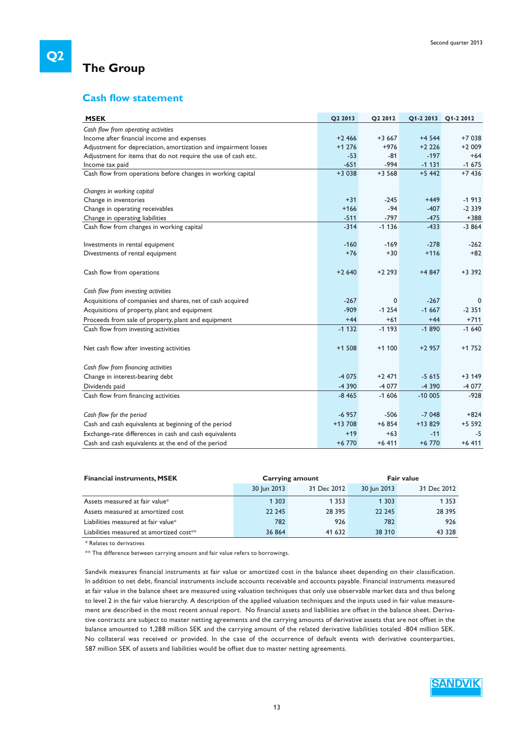### **The Group**

### **Cash flow statement**

| <b>MSEK</b>                                                     | Q2 2013  | Q2 2012 | Q1-2 2013 | Q1-2 2012 |
|-----------------------------------------------------------------|----------|---------|-----------|-----------|
| Cash flow from operating activities                             |          |         |           |           |
| Income after financial income and expenses                      | $+2466$  | $+3667$ | $+4544$   | $+7038$   |
| Adjustment for depreciation, amortization and impairment losses | $+1276$  | $+976$  | $+2226$   | $+2009$   |
| Adjustment for items that do not require the use of cash etc.   | $-53$    | $-81$   | $-197$    | $+64$     |
| Income tax paid                                                 | $-651$   | $-994$  | $-1131$   | $-1675$   |
| Cash flow from operations before changes in working capital     | $+3038$  | $+3568$ | $+5442$   | $+7436$   |
| Changes in working capital                                      |          |         |           |           |
| Change in inventories                                           | $+31$    | $-245$  | $+449$    | $-1913$   |
| Change in operating receivables                                 | $+166$   | $-94$   | $-407$    | $-2339$   |
| Change in operating liabilities                                 | $-511$   | $-797$  | $-475$    | $+388$    |
| Cash flow from changes in working capital                       | $-314$   | $-1136$ | $-433$    | $-3864$   |
| Investments in rental equipment                                 | $-160$   | $-169$  | $-278$    | $-262$    |
| Divestments of rental equipment                                 | $+76$    | $+30$   | $+116$    | $+82$     |
| Cash flow from operations                                       | $+2640$  | $+2293$ | +4 847    | $+3392$   |
| Cash flow from investing activities                             |          |         |           |           |
| Acquisitions of companies and shares, net of cash acquired      | $-267$   | 0       | $-267$    | 0         |
| Acquisitions of property, plant and equipment                   | $-909$   | $-1254$ | $-1667$   | $-2.351$  |
| Proceeds from sale of property, plant and equipment             | $+44$    | $+61$   | $+44$     | $+711$    |
| Cash flow from investing activities                             | $-1132$  | $-1193$ | $-1890$   | $-1640$   |
| Net cash flow after investing activities                        | $+1508$  | $+1100$ | $+2957$   | $+1752$   |
| Cash flow from financing activities                             |          |         |           |           |
| Change in interest-bearing debt                                 | $-4075$  | $+2471$ | $-5615$   | $+3149$   |
| Dividends paid                                                  | $-4390$  | $-4077$ | $-4390$   | $-4077$   |
| Cash flow from financing activities                             | $-8465$  | $-1606$ | $-10005$  | $-928$    |
| Cash flow for the period                                        | $-6957$  | $-506$  | $-7048$   | $+824$    |
| Cash and cash equivalents at beginning of the period            | $+13708$ | $+6854$ | $+13829$  | $+5592$   |
| Exchange-rate differences in cash and cash equivalents          | $+19$    | $+63$   | $-11$     | $-5$      |
| Cash and cash equivalents at the end of the period              | $+6770$  | $+6411$ | $+6770$   | $+6411$   |

| <b>Financial instruments, MSEK</b>                   |             | Carrying amount | <b>Fair value</b> |             |  |
|------------------------------------------------------|-------------|-----------------|-------------------|-------------|--|
|                                                      | 30 Jun 2013 | 31 Dec 2012     | 30 Jun 2013       | 31 Dec 2012 |  |
| Assets measured at fair value*                       | 1 3 0 3     | 1 3 5 3         | 1 3 0 3           | 1 3 5 3     |  |
| Assets measured at amortized cost                    | 22 245      | 28 3 9 5        | 22 245            | 28 3 95     |  |
| Liabilities measured at fair value*                  | 782         | 926             | 782               | 926         |  |
| Liabilities measured at amortized cost <sup>**</sup> | 36 864      | 41 632          | 38 310            | 43 328      |  |

\* Relates to derivatives

\*\* The difference between carrying amount and fair value refers to borrowings.

Sandvik measures financial instruments at fair value or amortized cost in the balance sheet depending on their classification. In addition to net debt, financial instruments include accounts receivable and accounts payable. Financial instruments measured at fair value in the balance sheet are measured using valuation techniques that only use observable market data and thus belong to level 2 in the fair value hierarchy. A description of the applied valuation techniques and the inputs used in fair value measurement are described in the most recent annual report. No financial assets and liabilities are offset in the balance sheet. Derivative contracts are subject to master netting agreements and the carrying amounts of derivative assets that are not offset in the balance amounted to 1,288 million SEK and the carrying amount of the related derivative liabilities totaled -804 million SEK. No collateral was received or provided. In the case of the occurrence of default events with derivative counterparties, 587 million SEK of assets and liabilities would be offset due to master netting agreements.

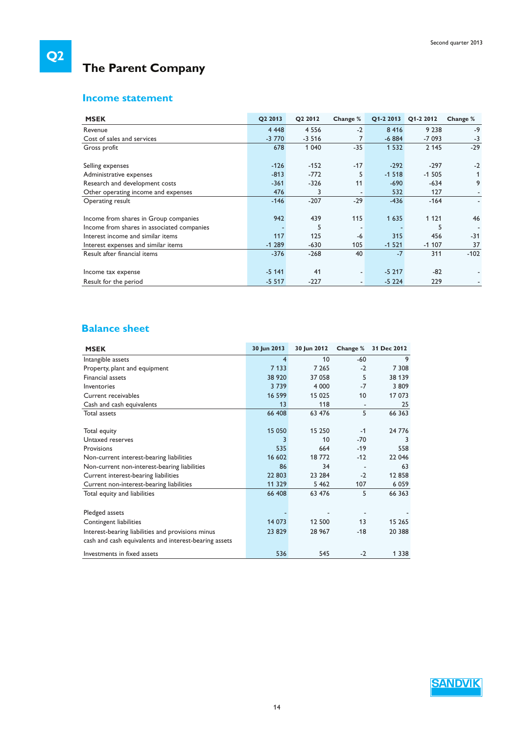# **The Parent Company**

### **Income statement**

| <b>MSEK</b>                                | Q2 2013 | Q2 2012 | Change %                 | Q1-2 2013 | Q1-2 2012 | Change % |
|--------------------------------------------|---------|---------|--------------------------|-----------|-----------|----------|
| Revenue                                    | 4 4 4 8 | 4 5 5 6 | $-2$                     | 8 4 1 6   | 9 2 3 8   | $-9$     |
| Cost of sales and services                 | $-3770$ | $-3516$ | 7                        | $-6884$   | $-7093$   | $-3$     |
| Gross profit                               | 678     | 1 0 4 0 | $-35$                    | 1 5 3 2   | 2 1 4 5   | $-29$    |
|                                            |         |         |                          |           |           |          |
| Selling expenses                           | $-126$  | $-152$  | $-17$                    | $-292$    | $-297$    | $-2$     |
| Administrative expenses                    | $-813$  | $-772$  | 5                        | $-1518$   | $-1505$   |          |
| Research and development costs             | $-361$  | $-326$  | 11                       | $-690$    | $-634$    | 9        |
| Other operating income and expenses        | 476     | 3       | $\overline{\phantom{a}}$ | 532       | 127       |          |
| Operating result                           | $-146$  | $-207$  | $-29$                    | $-436$    | $-164$    |          |
|                                            |         |         |                          |           |           |          |
| Income from shares in Group companies      | 942     | 439     | 115                      | 1 6 3 5   | 1 1 2 1   | 46       |
| Income from shares in associated companies |         | 5       | $\overline{\phantom{a}}$ |           | 5         |          |
| Interest income and similar items          | 117     | 125     | -6                       | 315       | 456       | $-31$    |
| Interest expenses and similar items        | $-1289$ | $-630$  | 105                      | $-1521$   | $-1107$   | 37       |
| Result after financial items               | $-376$  | $-268$  | 40                       | $-7$      | 311       | $-102$   |
|                                            |         |         |                          |           |           |          |
| Income tax expense                         | $-5141$ | 41      | $\overline{\phantom{a}}$ | $-5217$   | $-82$     |          |
| Result for the period                      | $-5517$ | $-227$  | $\overline{\phantom{a}}$ | $-5224$   | 229       |          |

### **Balance sheet**

| <b>MSEK</b>                                           | 30 Jun 2013 | 30 Jun 2012 | Change % | 31 Dec 2012 |
|-------------------------------------------------------|-------------|-------------|----------|-------------|
| Intangible assets                                     | 4           | 10          | $-60$    | 9           |
| Property, plant and equipment                         | 7 1 3 3     | 7 2 6 5     | $-2$     | 7 308       |
| Financial assets                                      | 38 9 20     | 37 058      | 5        | 38 139      |
| Inventories                                           | 3739        | 4 0 0 0     | $-7$     | 3 8 0 9     |
| Current receivables                                   | 16 599      | 15 0 25     | 10       | 17 073      |
| Cash and cash equivalents                             | 13          | 118         |          | 25          |
| Total assets                                          | 66 408      | 63 476      | 5        | 66 363      |
| Total equity                                          | 15 050      | 15 250      | $-1$     | 24 776      |
| Untaxed reserves                                      | 3           | 10          | $-70$    | 3           |
| Provisions                                            | 535         | 664         | $-19$    | 558         |
| Non-current interest-bearing liabilities              | 16 602      | 18772       | $-12$    | 22 046      |
| Non-current non-interest-bearing liabilities          | 86          | 34          |          | 63          |
| Current interest-bearing liabilities                  | 22 803      | 23 284      | $-2$     | 12858       |
| Current non-interest-bearing liabilities              | 11 329      | 5 4 6 2     | 107      | 6 0 5 9     |
| Total equity and liabilities                          | 66 408      | 63 476      | 5        | 66 363      |
|                                                       |             |             |          |             |
| Pledged assets                                        |             |             |          |             |
| Contingent liabilities                                | 14 073      | 12 500      | 13       | 15 265      |
| Interest-bearing liabilities and provisions minus     | 23 829      | 28 9 67     | $-18$    | 20 388      |
| cash and cash equivalents and interest-bearing assets |             |             |          |             |
| Investments in fixed assets                           | 536         | 545         | $-2$     | 1 3 3 8     |

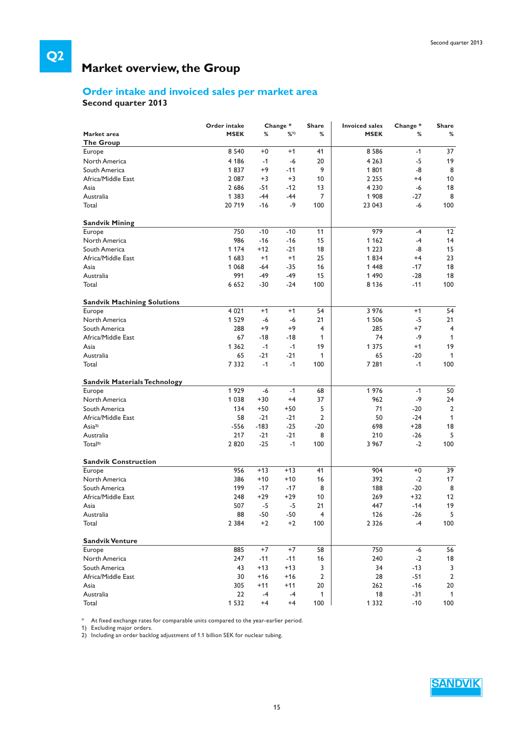# **Market overview, the Group**

### **Order intake and invoiced sales per market area**

**Second quarter 2013** 

**Q2**

|                                     | Order intake      |        | Change* | <b>Share</b>   | <b>Invoiced sales</b> | Change* | <b>Share</b>   |
|-------------------------------------|-------------------|--------|---------|----------------|-----------------------|---------|----------------|
| Market area                         | <b>MSEK</b>       | %      | %1)     | %              | <b>MSEK</b>           | %       | %              |
| <b>The Group</b>                    |                   |        |         |                |                       |         |                |
| Europe                              | 8 5 4 0           | $+0$   | $+1$    | 41             | 8 5 8 6               | $-1$    | 37             |
| North America                       | 4 1 8 6           | $-1$   | -6      | 20             | 4 2 6 3               | $-5$    | 19             |
| South America                       | 1837              | $+9$   | $-11$   | 9              | 1801                  | -8      | 8              |
| Africa/Middle East                  | 2 0 8 7           | $+3$   | $+3$    | 10             | 2 2 5 5               | $+4$    | 10             |
| Asia                                | 2686              | $-51$  | $-12$   | 13             | 4 2 3 0               | $-6$    | 18             |
| Australia                           | 1 3 8 3           | $-44$  | $-44$   | 7              | 1 908                 | $-27$   | 8              |
| Total                               | 20719             | $-16$  | -9      | 100            | 23 043                | -6      | 100            |
| <b>Sandvik Mining</b>               |                   |        |         |                |                       |         |                |
| Europe                              | 750               | $-10$  | $-10$   | 11             | 979                   | -4      | 12             |
| North America                       | 986               | $-16$  | $-16$   | 15             | 1 1 6 2               | $-4$    | 14             |
| South America                       | 1 1 7 4           | $+12$  | $-21$   | 18             | 1 2 2 3               | -8      | 15             |
| Africa/Middle East                  | 1683              | $+1$   | $+1$    | 25             | 1834                  | $+4$    | 23             |
| Asia                                | 1 0 6 8           | -64    | $-35$   | 16             | 1448                  | $-17$   | 18             |
| Australia                           | 991               | -49    | $-49$   | 15             | 1 4 9 0               | $-28$   | 18             |
| Total                               | 6652              | $-30$  | $-24$   | 100            | 8 1 3 6               | $-11$   | 100            |
|                                     |                   |        |         |                |                       |         |                |
| <b>Sandvik Machining Solutions</b>  |                   |        | $+1$    |                |                       |         |                |
| Europe                              | 4 0 21<br>1 5 2 9 | $+1$   |         | 54             | 3 976                 | $+1$    | 54             |
| North America                       |                   | $-6$   | -6      | 21             | 1 5 0 6               | $-5$    | 21             |
| South America                       | 288               | $+9$   | +9      | 4              | 285                   | $+7$    | $\overline{4}$ |
| Africa/Middle East                  | 67                | $-18$  | $-18$   | 1              | 74                    | $-9$    | 1              |
| Asia                                | 1 3 6 2           | $-1$   | $-1$    | 19             | 1 3 7 5               | $+1$    | 19             |
| Australia                           | 65                | $-21$  | $-21$   | 1              | 65                    | $-20$   | $\mathbf{1}$   |
| Total                               | 7332              | $-1$   | $-1$    | 100            | 7 2 8 1               | $-1$    | 100            |
| <b>Sandvik Materials Technology</b> |                   |        |         |                |                       |         |                |
| Europe                              | 1929              | $-6$   | $-1$    | 68             | 1976                  | $-1$    | 50             |
| North America                       | 1 0 3 8           | $+30$  | $+4$    | 37             | 962                   | $-9$    | 24             |
| South America                       | 134               | $+50$  | $+50$   | 5              | 71                    | $-20$   | $\overline{2}$ |
| Africa/Middle East                  | 58                | $-21$  | $-21$   | $\overline{2}$ | 50                    | $-24$   | 1              |
| Asia <sup>2</sup>                   | $-556$            | $-183$ | $-25$   | $-20$          | 698                   | $+28$   | 18             |
| Australia                           | 217               | $-21$  | $-21$   | 8              | 210                   | $-26$   | 5              |
| Total <sup>2)</sup>                 | 2820              | $-25$  | $-1$    | 100            | 3 967                 | $-2$    | 100            |
| <b>Sandvik Construction</b>         |                   |        |         |                |                       |         |                |
| Europe                              | 956               | $+13$  | $+13$   | 41             | 904                   | $+0$    | 39             |
| North America                       | 386               | $+10$  | $+10$   | 16             | 392                   | $-2$    | 17             |
| South America                       | 199               | $-17$  | $-17$   | 8              | 188                   | $-20$   | 8              |
| Africa/Middle East                  | 248               | $+29$  | $+29$   | 10             | 269                   | $+32$   | 12             |
| Asia                                | 507               | $-5$   | -5      | 21             | 447                   | $-14$   | 19             |
| Australia                           | 88                | -50    | $-50$   | 4              | 126                   | $-26$   | 5              |
| Total                               | 2 3 8 4           | $+2$   | $+2$    | 100            | 2 3 2 6               | $-4$    | 100            |
| <b>Sandvik Venture</b>              |                   |        |         |                |                       |         |                |
| Europe                              | 885               | $+7$   | $+7$    | 58             | 750                   | -6      | 56             |
| North America                       | 247               | $-11$  | $-11$   | 16             | 240                   | $-2$    | 18             |
| South America                       | 43                | $+13$  | $+13$   |                |                       | $-13$   | 3              |
|                                     |                   |        |         | 3              | 34                    |         |                |
| Africa/Middle East                  | 30                | $+16$  | $+16$   | 2              | 28                    | $-51$   | 2              |
| Asia                                | 305               | $+11$  | $+11$   | 20             | 262                   | $-16$   | 20             |
| Australia                           | 22                | -4     | $-4$    | 1              | 18                    | $-31$   | $\mathbf{1}$   |
| Total                               | 1 5 3 2           | $+4$   | $+4$    | 100            | 1 3 3 2               | $-10$   | 100            |

 $\hspace{0.1mm}^*$  At fixed exchange rates for comparable units compared to the year-earlier period.

1) Excluding major orders.

2) Including an order backlog adjustment of 1.1 billion SEK for nuclear tubing.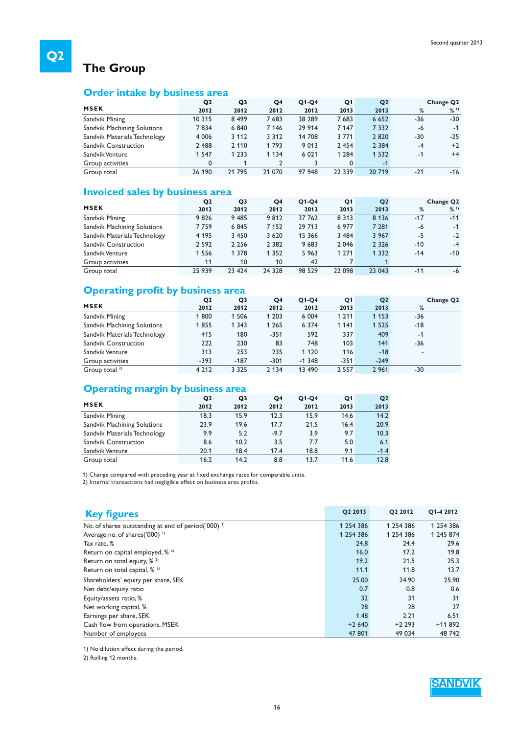# **The Group**

### **Order intake by business area**

|                              | Q <sub>2</sub> | Q3      | Q <sub>4</sub> | $Q1-Q4$ | Q <sub>1</sub> | Q <sub>2</sub> |       | Change Q <sub>2</sub> |
|------------------------------|----------------|---------|----------------|---------|----------------|----------------|-------|-----------------------|
| <b>MSEK</b>                  | 2012           | 2012    | 2012           | 2012    | 2013           | 2013           | %     | %11                   |
| Sandvik Mining               | 10 315         | 8499    | 7 683          | 38 289  | 7683           | 6 6 5 2        | -36   | $-30$                 |
| Sandvik Machining Solutions  | 7834           | 6840    | 7 1 4 6        | 29 914  | 7 1 4 7        | 7 3 3 2        | -6    | $-1$                  |
| Sandvik Materials Technology | 4 0 0 6        | 3 1 1 2 | 3 3 1 2        | 14 708  | 3 7 7 1        | 2820           | $-30$ | $-25$                 |
| <b>Sandvik Construction</b>  | 2 4 8 8        | 2 1 1 0 | 1793           | 9 0 1 3 | 2 4 5 4        | 2 3 8 4        | $-4$  | $+2$                  |
| Sandvik Venture              | 1 5 4 7        | 1 2 3 3 | 1 1 3 4        | 6 0 21  | 1 2 8 4        | 1 5 3 2        | -1    | $+4$                  |
| Group activities             | 0              |         |                |         | 0              | $-1$           |       |                       |
| Group total                  | 26 190         | 21 795  | 21 070         | 97 948  | 22 3 3 9       | 20 719         | $-21$ | $-16$                 |

### **Invoiced sales by business area**

|                              | Q <sub>2</sub> | Q3      | Q <sub>4</sub> | $Q1-Q4$ | Q <sub>1</sub> | Q <sub>2</sub> |       | Change Q <sub>2</sub> |
|------------------------------|----------------|---------|----------------|---------|----------------|----------------|-------|-----------------------|
| <b>MSEK</b>                  | 2012           | 2012    | 2012           | 2012    | 2013           | 2013           | %     | %11                   |
| Sandvik Mining               | 9826           | 9485    | 9812           | 37 762  | 8 3 1 3        | 8 1 3 6        | $-17$ | $-11$                 |
| Sandvik Machining Solutions  | 7759           | 6845    | 7 1 5 2        | 29 713  | 6 977          | 7 2 8 1        | -6    | $-1$                  |
| Sandvik Materials Technology | 4 1 9 5        | 3 4 5 0 | 3 6 2 0        | 15 366  | 3 4 8 4        | 3 9 6 7        | -5    | $-2$                  |
| <b>Sandvik Construction</b>  | 2 5 9 2        | 2 2 5 6 | 2 3 8 2        | 9683    | 2 0 4 6        | 2 3 2 6        | $-10$ | $-4$                  |
| Sandvik Venture              | 1 5 5 6        | 1 3 7 8 | 1 3 5 2        | 5963    | 1 2 7 1        | 1 3 3 2        | $-14$ | $-10$                 |
| Group activities             | 11             | 10      | 10             | 42      |                |                |       |                       |
| Group total                  | 25 939         | 23 4 24 | 24 3 28        | 98 5 29 | 22 098         | 23 043         | $-11$ | -6                    |

### **Operating profit by business area**

| - F - - - - - - 0 F - -      |                |                |         |          |                |                |                       |
|------------------------------|----------------|----------------|---------|----------|----------------|----------------|-----------------------|
|                              | Q <sub>2</sub> | Q <sub>3</sub> | Q4      | $Q1-Q4$  | Q <sub>1</sub> | Q <sub>2</sub> | Change Q <sub>2</sub> |
| <b>MSEK</b>                  | 2012           | 2012           | 2012    | 2012     | 2013           | 2013           | %                     |
| Sandvik Mining               | 1800           | 1 506          | 1 2 0 3 | 6 0 0 4  | 1 2 1 1        | 1 1 5 3        | $-36$                 |
| Sandvik Machining Solutions  | 1855           | 1 3 4 3        | 1 2 6 5 | 6 3 7 4  | 1 1 4 1        | 1 5 2 5        | $-18$                 |
| Sandvik Materials Technology | 415            | 180            | $-351$  | 592      | 337            | 409            | $-1$                  |
| <b>Sandvik Construction</b>  | 222            | 230            | 83      | 748      | 103            | 141            | $-36$                 |
| Sandvik Venture              | 313            | 253            | 235     | 1 1 2 0  | 116            | $-18$          |                       |
| Group activities             | $-393$         | $-187$         | $-301$  | $-1.348$ | $-351$         | $-249$         |                       |
| Group total $2$              | 4 2 1 2        | 3 3 2 5        | 2 1 3 4 | 13 490   | 2 5 5 7        | 2 9 6 1        | $-30$                 |

### **Operating margin by business area**

| -                            | Q <sub>2</sub> | Q <sub>3</sub> | Q <sub>4</sub> | $Q1-Q4$ | Q1   | Q <sub>2</sub> |
|------------------------------|----------------|----------------|----------------|---------|------|----------------|
| <b>MSEK</b>                  | 2012           | 2012           | 2012           | 2012    | 2013 | 2013           |
| Sandvik Mining               | 18.3           | 15.9           | 12.3           | 15.9    | 14.6 | 14.2           |
| Sandvik Machining Solutions  | 23.9           | 19.6           | 17.7           | 21.5    | 16.4 | 20.9           |
| Sandvik Materials Technology | 9.9            | 5.2            | $-9.7$         | 3.9     | 9.7  | 10.3           |
| <b>Sandvik Construction</b>  | 8.6            | 10.2           | 3.5            | 7.7     | 5.0  | 6.1            |
| Sandvik Venture              | 20.1           | 18.4           | 17.4           | 18.8    | 9.1  | $-1.4$         |
| Group total                  | 16.2           | 14.2           | 8.8            | 13.7    | 11.6 | 12.8           |

1) Change compared with preceding year at fixed exchange rates for comparable units.

2) Internal transactions had negligible effect on business area profits.

| <b>Key figures</b>                                             | O <sub>2</sub> 2013 | O <sub>2</sub> 2012 | Q1-4 2012 |
|----------------------------------------------------------------|---------------------|---------------------|-----------|
| No. of shares outstanding at end of period('000) <sup>1)</sup> | 1 254 386           | 1 254 386           | 1 254 386 |
| Average no. of shares('000) <sup>1)</sup>                      | 1 254 386           | 1 254 386           | 1 245 874 |
| Tax rate, %                                                    | 24.8                | 24.4                | 29.6      |
| Return on capital employed, % 2)                               | 16.0                | 17.2                | 19.8      |
| Return on total equity, $\frac{9}{2}$                          | 19.2                | 21.5                | 25.3      |
| Return on total capital, $\frac{2}{3}$                         | 11.1                | 11.8                | 13.7      |
| Shareholders' equity per share, SEK                            | 25.00               | 24.90               | 25.90     |
| Net debt/equity ratio                                          | 0.7                 | 0.8                 | 0.6       |
| Equity/assets ratio, %                                         | 32                  | 31                  | 31        |
| Net working capital, %                                         | 28                  | 28                  | 27        |
| Earnings per share, SEK                                        | 1.48                | 2.21                | 6.51      |
| Cash flow from operations, MSEK                                | $+2640$             | $+2293$             | $+11892$  |
| Number of employees                                            | 47 801              | 49 0 34             | 48 742    |

1) No dilution effect during the period.

2) Rolling 12 months.